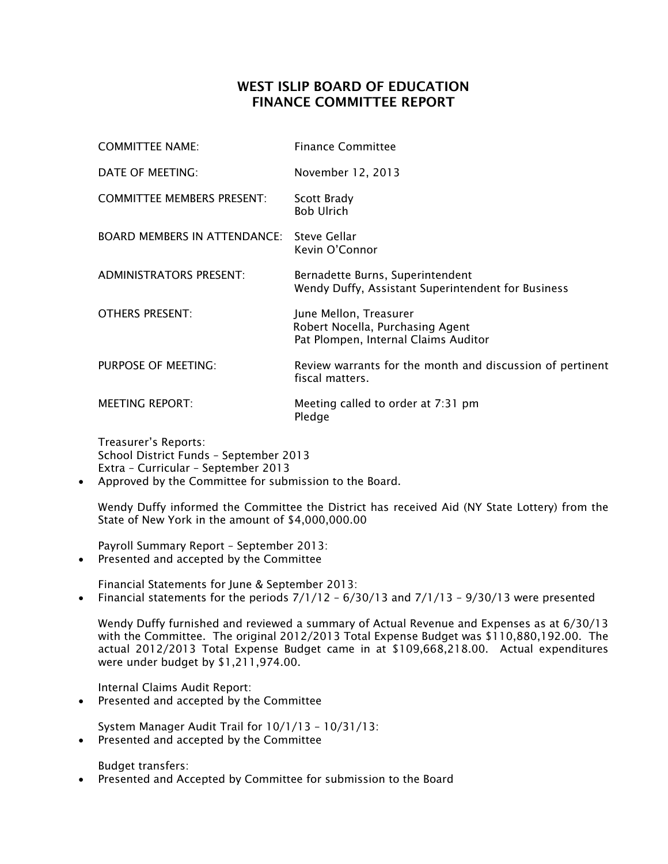## WEST ISLIP BOARD OF EDUCATION FINANCE COMMITTEE REPORT

| <b>COMMITTEE NAME:</b>              | <b>Finance Committee</b>                                                                           |
|-------------------------------------|----------------------------------------------------------------------------------------------------|
| DATE OF MEETING:                    | November 12, 2013                                                                                  |
| <b>COMMITTEE MEMBERS PRESENT:</b>   | Scott Brady<br><b>Bob Ulrich</b>                                                                   |
| <b>BOARD MEMBERS IN ATTENDANCE:</b> | Steve Gellar<br>Kevin O'Connor                                                                     |
| <b>ADMINISTRATORS PRESENT:</b>      | Bernadette Burns, Superintendent<br>Wendy Duffy, Assistant Superintendent for Business             |
| <b>OTHERS PRESENT:</b>              | June Mellon, Treasurer<br>Robert Nocella, Purchasing Agent<br>Pat Plompen, Internal Claims Auditor |
| PURPOSE OF MEETING:                 | Review warrants for the month and discussion of pertinent<br>fiscal matters.                       |
| <b>MEETING REPORT:</b>              | Meeting called to order at 7:31 pm<br>Pledge                                                       |

Treasurer's Reports: School District Funds – September 2013 Extra – Curricular – September 2013

Approved by the Committee for submission to the Board.

Wendy Duffy informed the Committee the District has received Aid (NY State Lottery) from the State of New York in the amount of \$4,000,000.00

Payroll Summary Report – September 2013:

• Presented and accepted by the Committee

Financial Statements for June & September 2013:

• Financial statements for the periods  $7/1/12 - 6/30/13$  and  $7/1/13 - 9/30/13$  were presented

Wendy Duffy furnished and reviewed a summary of Actual Revenue and Expenses as at 6/30/13 with the Committee. The original 2012/2013 Total Expense Budget was \$110,880,192.00. The actual 2012/2013 Total Expense Budget came in at \$109,668,218.00. Actual expenditures were under budget by \$1,211,974.00.

Internal Claims Audit Report:

Presented and accepted by the Committee

System Manager Audit Trail for 10/1/13 – 10/31/13:

Presented and accepted by the Committee

Budget transfers:

Presented and Accepted by Committee for submission to the Board